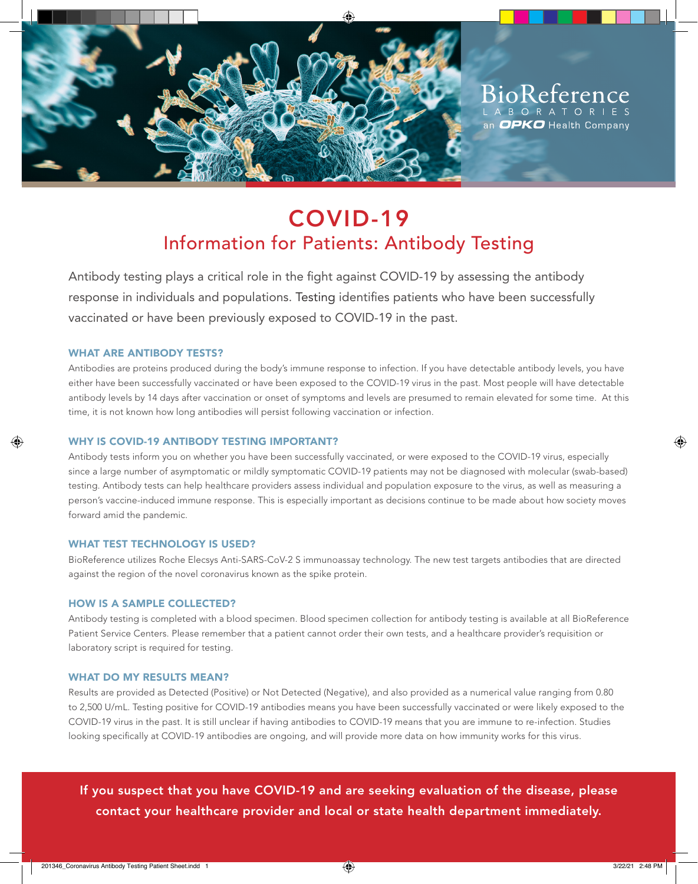

BioReference L A B O R A T O R I an  $OPKO$  Health Company

# COVID-19 Information for Patients: Antibody Testing

Antibody testing plays a critical role in the fight against COVID-19 by assessing the antibody response in individuals and populations. Testing identifies patients who have been successfully vaccinated or have been previously exposed to COVID-19 in the past.

### WHAT ARE ANTIBODY TESTS?

Antibodies are proteins produced during the body's immune response to infection. If you have detectable antibody levels, you have either have been successfully vaccinated or have been exposed to the COVID-19 virus in the past. Most people will have detectable antibody levels by 14 days after vaccination or onset of symptoms and levels are presumed to remain elevated for some time. At this time, it is not known how long antibodies will persist following vaccination or infection.

#### WHY IS COVID-19 ANTIBODY TESTING IMPORTANT?

Antibody tests inform you on whether you have been successfully vaccinated, or were exposed to the COVID-19 virus, especially since a large number of asymptomatic or mildly symptomatic COVID-19 patients may not be diagnosed with molecular (swab-based) testing. Antibody tests can help healthcare providers assess individual and population exposure to the virus, as well as measuring a person's vaccine-induced immune response. This is especially important as decisions continue to be made about how society moves forward amid the pandemic.

### WHAT TEST TECHNOLOGY IS USED?

BioReference utilizes Roche Elecsys Anti-SARS-CoV-2 S immunoassay technology. The new test targets antibodies that are directed against the region of the novel coronavirus known as the spike protein.

#### HOW IS A SAMPLE COLLECTED?

Antibody testing is completed with a blood specimen. Blood specimen collection for antibody testing is available at all BioReference Patient Service Centers. Please remember that a patient cannot order their own tests, and a healthcare provider's requisition or laboratory script is required for testing.

#### WHAT DO MY RESULTS MEAN?

Results are provided as Detected (Positive) or Not Detected (Negative), and also provided as a numerical value ranging from 0.80 to 2,500 U/mL. Testing positive for COVID-19 antibodies means you have been successfully vaccinated or were likely exposed to the COVID-19 virus in the past. It is still unclear if having antibodies to COVID-19 means that you are immune to re-infection. Studies looking specifically at COVID-19 antibodies are ongoing, and will provide more data on how immunity works for this virus.

If you suspect that you have COVID-19 and are seeking evaluation of the disease, please contact your healthcare provider and local or state health department immediately.